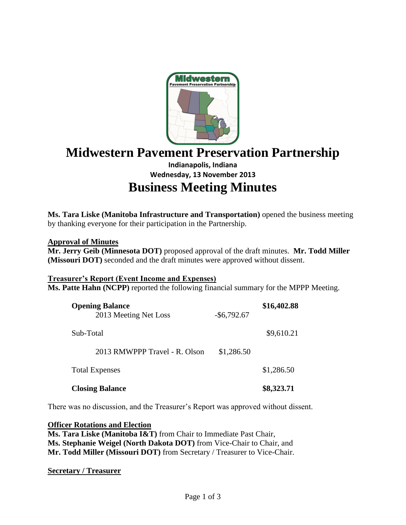

# **Midwestern Pavement Preservation Partnership**

# **Indianapolis, Indiana Wednesday, 13 November 2013 Business Meeting Minutes**

**Ms. Tara Liske (Manitoba Infrastructure and Transportation)** opened the business meeting by thanking everyone for their participation in the Partnership.

#### **Approval of Minutes**

**Mr. Jerry Geib (Minnesota DOT)** proposed approval of the draft minutes. **Mr. Todd Miller (Missouri DOT)** seconded and the draft minutes were approved without dissent.

#### **Treasurer's Report (Event Income and Expenses)**

**Ms. Patte Hahn (NCPP)** reported the following financial summary for the MPPP Meeting.

| <b>Opening Balance</b><br>2013 Meeting Net Loss | $-$ \$6,792.67 | \$16,402.88 |
|-------------------------------------------------|----------------|-------------|
| Sub-Total                                       |                | \$9,610.21  |
| 2013 RMWPPP Travel - R. Olson                   | \$1,286.50     |             |
| <b>Total Expenses</b>                           |                | \$1,286.50  |
| <b>Closing Balance</b>                          |                | \$8,323.71  |

There was no discussion, and the Treasurer's Report was approved without dissent.

**Officer Rotations and Election**

**Ms. Tara Liske (Manitoba I&T)** from Chair to Immediate Past Chair, **Ms. Stephanie Weigel (North Dakota DOT)** from Vice-Chair to Chair, and **Mr. Todd Miller (Missouri DOT)** from Secretary / Treasurer to Vice-Chair.

#### **Secretary / Treasurer**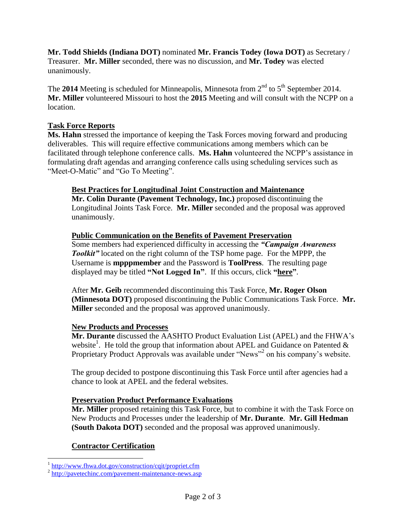**Mr. Todd Shields (Indiana DOT)** nominated **Mr. Francis Todey (Iowa DOT)** as Secretary / Treasurer. **Mr. Miller** seconded, there was no discussion, and **Mr. Todey** was elected unanimously.

The **2014** Meeting is scheduled for Minneapolis, Minnesota from  $2<sup>nd</sup>$  to  $5<sup>th</sup>$  September 2014. **Mr. Miller** volunteered Missouri to host the **2015** Meeting and will consult with the NCPP on a location.

# **Task Force Reports**

**Ms. Hahn** stressed the importance of keeping the Task Forces moving forward and producing deliverables. This will require effective communications among members which can be facilitated through telephone conference calls. **Ms. Hahn** volunteered the NCPP's assistance in formulating draft agendas and arranging conference calls using scheduling services such as "Meet-O-Matic" and "Go To Meeting".

#### **Best Practices for Longitudinal Joint Construction and Maintenance**

**Mr. Colin Durante (Pavement Technology, Inc.)** proposed discontinuing the Longitudinal Joints Task Force. **Mr. Miller** seconded and the proposal was approved unanimously.

## **Public Communication on the Benefits of Pavement Preservation**

Some members had experienced difficulty in accessing the *"Campaign Awareness Toolkit* located on the right column of the TSP home page. For the MPPP, the Username is **mpppmember** and the Password is **ToolPress**. The resulting page displayed may be titled **"Not Logged In"**. If this occurs, click **"here"**.

After **Mr. Geib** recommended discontinuing this Task Force, **Mr. Roger Olson (Minnesota DOT)** proposed discontinuing the Public Communications Task Force. **Mr. Miller** seconded and the proposal was approved unanimously.

#### **New Products and Processes**

**Mr. Durante** discussed the AASHTO Product Evaluation List (APEL) and the FHWA's website<sup>1</sup>. He told the group that information about APEL and Guidance on Patented  $\&$ Proprietary Product Approvals was available under "News"<sup>2</sup> on his company's website.

The group decided to postpone discontinuing this Task Force until after agencies had a chance to look at APEL and the federal websites.

#### **Preservation Product Performance Evaluations**

**Mr. Miller** proposed retaining this Task Force, but to combine it with the Task Force on New Products and Processes under the leadership of **Mr. Durante**. **Mr. Gill Hedman (South Dakota DOT)** seconded and the proposal was approved unanimously.

#### **Contractor Certification**

<sup>&</sup>lt;sup>1</sup> <http://www.fhwa.dot.gov/construction/cqit/propriet.cfm>

<sup>&</sup>lt;sup>2</sup> <http://pavetechinc.com/pavement-maintenance-news.asp>